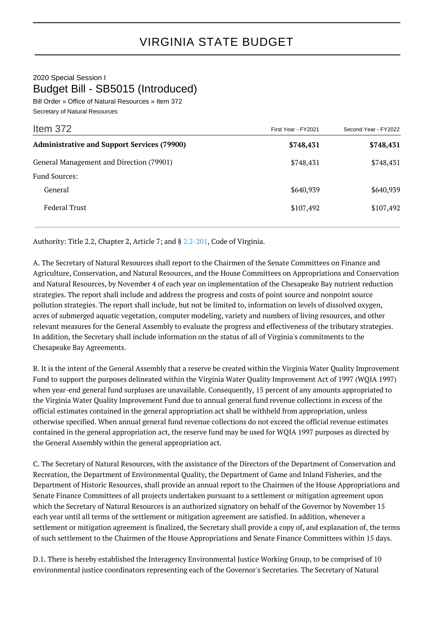2020 Special Session I Budget Bill - SB5015 (Introduced)

Bill Order » Office of Natural Resources » Item 372 Secretary of Natural Resources

| Item 372                                           | First Year - FY2021 | Second Year - FY2022 |
|----------------------------------------------------|---------------------|----------------------|
| <b>Administrative and Support Services (79900)</b> | \$748,431           | \$748,431            |
| General Management and Direction (79901)           | \$748,431           | \$748,431            |
| <b>Fund Sources:</b>                               |                     |                      |
| General                                            | \$640,939           | \$640,939            |
| <b>Federal Trust</b>                               | \$107,492           | \$107,492            |

Authority: Title 2.2, Chapter 2, Article 7; and § [2.2-201,](http://law.lis.virginia.gov/vacode/2.2-201/) Code of Virginia.

A. The Secretary of Natural Resources shall report to the Chairmen of the Senate Committees on Finance and Agriculture, Conservation, and Natural Resources, and the House Committees on Appropriations and Conservation and Natural Resources, by November 4 of each year on implementation of the Chesapeake Bay nutrient reduction strategies. The report shall include and address the progress and costs of point source and nonpoint source pollution strategies. The report shall include, but not be limited to, information on levels of dissolved oxygen, acres of submerged aquatic vegetation, computer modeling, variety and numbers of living resources, and other relevant measures for the General Assembly to evaluate the progress and effectiveness of the tributary strategies. In addition, the Secretary shall include information on the status of all of Virginia's commitments to the Chesapeake Bay Agreements.

B. It is the intent of the General Assembly that a reserve be created within the Virginia Water Quality Improvement Fund to support the purposes delineated within the Virginia Water Quality Improvement Act of 1997 (WQIA 1997) when year-end general fund surpluses are unavailable. Consequently, 15 percent of any amounts appropriated to the Virginia Water Quality Improvement Fund due to annual general fund revenue collections in excess of the official estimates contained in the general appropriation act shall be withheld from appropriation, unless otherwise specified. When annual general fund revenue collections do not exceed the official revenue estimates contained in the general appropriation act, the reserve fund may be used for WQIA 1997 purposes as directed by the General Assembly within the general appropriation act.

C. The Secretary of Natural Resources, with the assistance of the Directors of the Department of Conservation and Recreation, the Department of Environmental Quality, the Department of Game and Inland Fisheries, and the Department of Historic Resources, shall provide an annual report to the Chairmen of the House Appropriations and Senate Finance Committees of all projects undertaken pursuant to a settlement or mitigation agreement upon which the Secretary of Natural Resources is an authorized signatory on behalf of the Governor by November 15 each year until all terms of the settlement or mitigation agreement are satisfied. In addition, whenever a settlement or mitigation agreement is finalized, the Secretary shall provide a copy of, and explanation of, the terms of such settlement to the Chairmen of the House Appropriations and Senate Finance Committees within 15 days.

D.1. There is hereby established the Interagency Environmental Justice Working Group, to be comprised of 10 environmental justice coordinators representing each of the Governor's Secretaries. The Secretary of Natural